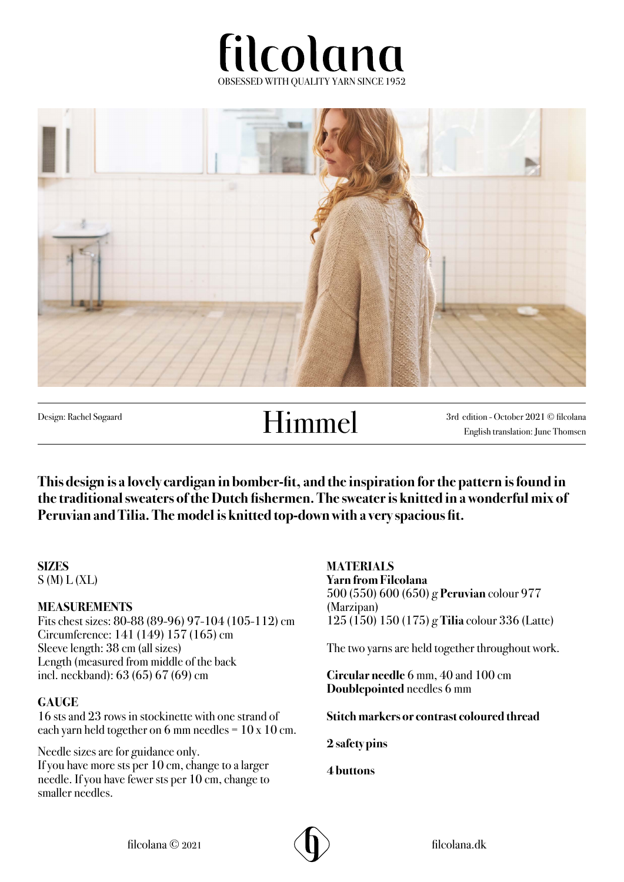



# Design: Rachel Søgaard **Himmel**

3rd edition - October 2021 © filcolana English translation: June Thomsen

**This design is a lovely cardigan in bomber-fit, and the inspiration for the pattern is found in the traditional sweaters of the Dutch fishermen. The sweater is knitted in a wonderful mix of Peruvian and Tilia. The model is knitted top-down with a very spacious fit.** 

## **SIZES**

 $S(M) L(XL)$ 

#### **MEASUREMENTS**

Fits chest sizes: 80-88 (89-96) 97-104 (105-112) cm Circumference: 141 (149) 157 (165) cm Sleeve length: 38 cm (all sizes) Length (measured from middle of the back incl. neckband): 63 (65) 67 (69) cm

#### **GAUGE**

16 sts and 23 rows in stockinette with one strand of each yarn held together on 6 mm needles =  $10 \times 10$  cm.

Needle sizes are for guidance only. If you have more sts per 10 cm, change to a larger needle. If you have fewer sts per 10 cm, change to smaller needles.

**MATERIALS Yarn from Filcolana** 500 (550) 600 (650) g **Peruvian** colour 977 (Marzipan) 125 (150) 150 (175) g **Tilia** colour 336 (Latte)

The two yarns are held together throughout work.

**Circular needle** 6 mm, 40 and 100 cm **Doublepointed** needles 6 mm

**Stitch markers or contrast coloured thread**

**2 safety pins**

**4 buttons**

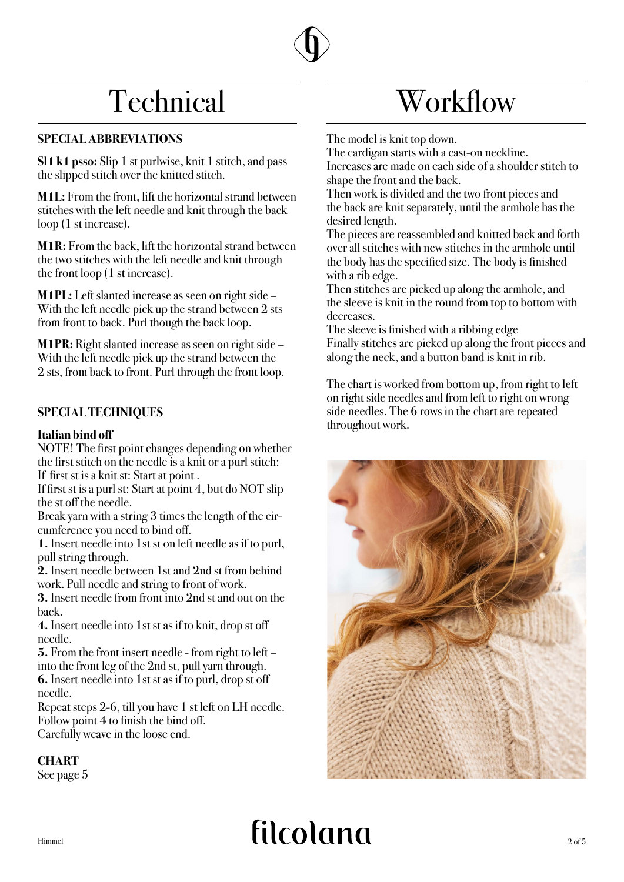## **Technical**

#### **SPECIAL ABBREVIATIONS**

**Sl1 k1 psso:** Slip 1 st purlwise, knit 1 stitch, and pass the slipped stitch over the knitted stitch.

**M1L:** From the front, lift the horizontal strand between stitches with the left needle and knit through the back loop (1 st increase).

**M1R:** From the back, lift the horizontal strand between the two stitches with the left needle and knit through the front loop (1 st increase).

**M1PL:** Left slanted increase as seen on right side – With the left needle pick up the strand between 2 sts from front to back. Purl though the back loop.

**M1PR:** Right slanted increase as seen on right side – With the left needle pick up the strand between the 2 sts, from back to front. Purl through the front loop.

#### **SPECIAL TECHNIQUES**

#### **Italian bind off**

NOTE! The first point changes depending on whether the first stitch on the needle is a knit or a purl stitch: If first st is a knit st: Start at point .

If first st is a purl st: Start at point 4, but do NOT slip the st off the needle.

Break yarn with a string 3 times the length of the circumference you need to bind off.

**1.** Insert needle into 1st st on left needle as if to purl, pull string through.

**2.** Insert needle between 1st and 2nd st from behind work. Pull needle and string to front of work.

**3.** Insert needle from front into 2nd st and out on the back.

**4.** Insert needle into 1st st as if to knit, drop st off needle.

**5.** From the front insert needle - from right to left – into the front leg of the 2nd st, pull yarn through. **6.** Insert needle into 1st st as if to purl, drop st off needle.

Repeat steps 2-6, till you have 1 st left on LH needle. Follow point 4 to finish the bind off. Carefully weave in the loose end.

#### **CHART**

See page 5

## Workflow

The model is knit top down.

The cardigan starts with a cast-on neckline. Increases are made on each side of a shoulder stitch to shape the front and the back.

Then work is divided and the two front pieces and the back are knit separately, until the armhole has the desired length.

The pieces are reassembled and knitted back and forth over all stitches with new stitches in the armhole until the body has the specified size. The body is finished with a rib edge.

Then stitches are picked up along the armhole, and the sleeve is knit in the round from top to bottom with decreases.

The sleeve is finished with a ribbing edge Finally stitches are picked up along the front pieces and along the neck, and a button band is knit in rib.

The chart is worked from bottom up, from right to left on right side needles and from left to right on wrong side needles. The 6 rows in the chart are repeated throughout work.



# $H_{\text{immed}}$   $\text{filcolland}$   $_{\text{2 of 5}}$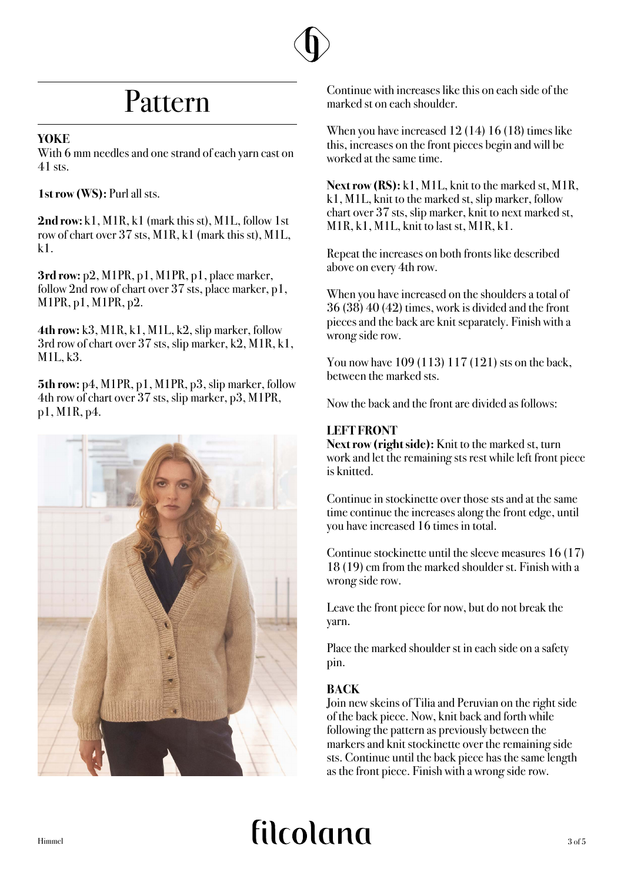## Pattern

#### **YOKE**

With 6 mm needles and one strand of each yarn cast on 41 sts.

**1st row (WS):** Purl all sts.

**2nd row:** k1, M1R, k1 (mark this st), M1L, follow 1st row of chart over 37 sts, M1R, k1 (mark this st), M1L,  $k<sub>1</sub>$ 

**3rd row:** p2, M1PR, p1, M1PR, p1, place marker, follow 2nd row of chart over 37 sts, place marker, p1, M1PR, p1, M1PR, p2.

**4th row:** k3, M1R, k1, M1L, k2, slip marker, follow 3rd row of chart over 37 sts, slip marker, k2, M1R, k1, M1L, k3.

**5th row:** p4, M1PR, p1, M1PR, p3, slip marker, follow 4th row of chart over 37 sts, slip marker, p3, M1PR, p1, M1R, p4.



Continue with increases like this on each side of the marked st on each shoulder.

When you have increased 12 (14) 16 (18) times like this, increases on the front pieces begin and will be worked at the same time.

**Next row (RS):** k1, M1L, knit to the marked st, M1R, k1, M1L, knit to the marked st, slip marker, follow chart over 37 sts, slip marker, knit to next marked st, M1R, k1, M1L, knit to last st, M1R, k1.

Repeat the increases on both fronts like described above on every 4th row.

When you have increased on the shoulders a total of 36 (38) 40 (42) times, work is divided and the front pieces and the back are knit separately. Finish with a wrong side row.

You now have 109 (113) 117 (121) sts on the back, between the marked sts.

Now the back and the front are divided as follows:

#### **LEFT FRONT**

**Next row (right side):** Knit to the marked st, turn work and let the remaining sts rest while left front piece is knitted.

Continue in stockinette over those sts and at the same time continue the increases along the front edge, until you have increased 16 times in total.

Continue stockinette until the sleeve measures 16 (17) 18 (19) cm from the marked shoulder st. Finish with a wrong side row.

Leave the front piece for now, but do not break the yarn.

Place the marked shoulder st in each side on a safety pin.

#### **BACK**

Join new skeins of Tilia and Peruvian on the right side of the back piece. Now, knit back and forth while following the pattern as previously between the markers and knit stockinette over the remaining side sts. Continue until the back piece has the same length as the front piece. Finish with a wrong side row.

# $H_{\text{immed}}$   $\text{filcolland}$   $\text{3 of 5}$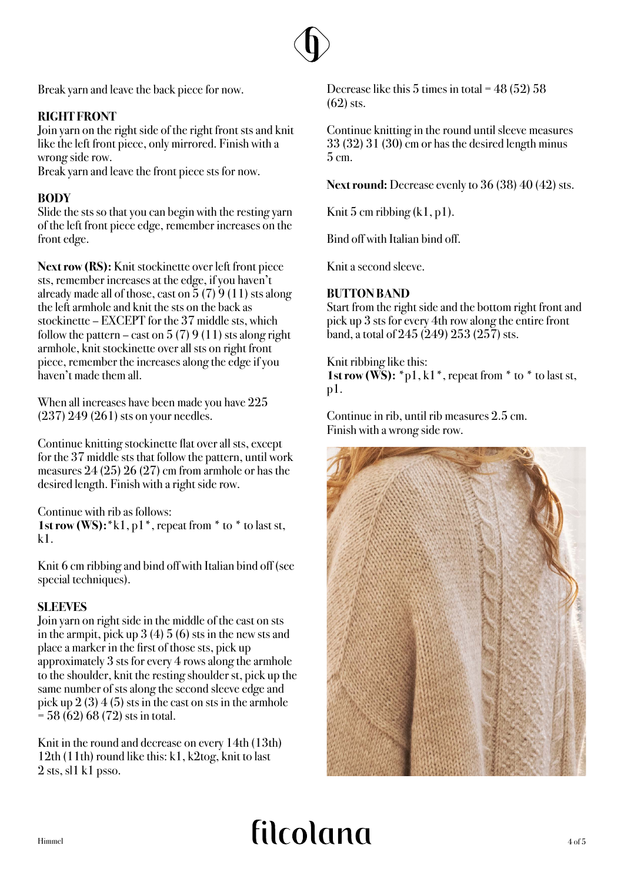

Break yarn and leave the back piece for now.

## **RIGHT FRONT**

Join yarn on the right side of the right front sts and knit like the left front piece, only mirrored. Finish with a wrong side row.

Break yarn and leave the front piece sts for now.

#### **BODY**

Slide the sts so that you can begin with the resting yarn of the left front piece edge, remember increases on the front edge.

**Next row (RS):** Knit stockinette over left front piece sts, remember increases at the edge, if you haven't already made all of those, cast on  $\frac{5}{7}$  (7) 9 (11) sts along the left armhole and knit the sts on the back as stockinette – EXCEPT for the 37 middle sts, which follow the pattern – cast on  $5(7)9(11)$  sts along right armhole, knit stockinette over all sts on right front piece, remember the increases along the edge if you haven't made them all.

When all increases have been made you have 225 (237) 249 (261) sts on your needles.

Continue knitting stockinette flat over all sts, except for the 37 middle sts that follow the pattern, until work measures  $24(25)$   $26(27)$  cm from armhole or has the desired length. Finish with a right side row.

Continue with rib as follows:

**1st row (WS):**  $*k1$ ,  $p1$ , repeat from  $*$  to  $*$  to last st,  $k<sub>1</sub>$ 

Knit 6 cm ribbing and bind off with Italian bind off (see special techniques).

#### **SLEEVES**

Join yarn on right side in the middle of the cast on sts in the armpit, pick up 3 (4) 5 (6) sts in the new sts and place a marker in the first of those sts, pick up approximately 3 sts for every 4 rows along the armhole to the shoulder, knit the resting shoulder st, pick up the same number of sts along the second sleeve edge and pick up  $2(3)$  4 (5) sts in the cast on sts in the armhole  $=$  58 (62) 68 (72) sts in total.

Knit in the round and decrease on every 14th (13th) 12th (11th) round like this: k1, k2tog, knit to last  $2$  sts, sl1 k1 psso.

Decrease like this  $5$  times in total =  $48(52)$  58  $(62)$  sts.

Continue knitting in the round until sleeve measures 33 (32) 31 (30) cm or has the desired length minus 5 cm.

**Next round:** Decrease evenly to 36 (38) 40 (42) sts.

Knit 5 cm ribbing  $(k1, p1)$ .

Bind off with Italian bind off.

Knit a second sleeve.

#### **BUTTON BAND**

Start from the right side and the bottom right front and pick up 3 sts for every 4th row along the entire front band, a total of 245 (249) 253 (257) sts.

Knit ribbing like this: **1st row (WS):**  $*_{p1}$ , k1 $*$ , repeat from  $*$  to  $*$  to last st, p1.

Continue in rib, until rib measures 2.5 cm. Finish with a wrong side row.



# $H_{\text{immed}}$   $\text{filcolland}$   $\text{4 of 5}$